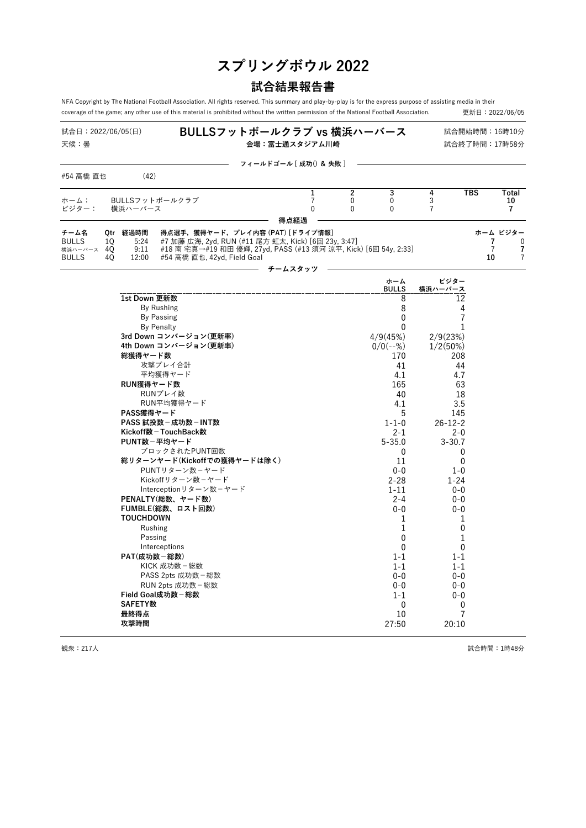# **スプリングボウル 2022**

# **試合結果報告書**

NFA Copyright by The National Football Association. All rights reserved. This summary and play-by-play is for the express purpose of assisting media in their<br>coverage of the game; any other use of this material is prohib coverage of the game; any other use of this material is prohibited without the written permission of the National Football Association.

| 試合日:2022/06/05(日)<br>天候:曇                          |                 |                               |                                                                                                                                                                                           | BULLSフットボールクラブ vs 横浜ハーバース<br>会場:富士通スタジアム川崎 |                                            |                                    |                                  |                                     | 試合開始時間: 16時10分<br>試合終了時間:17時58分 |                                    |
|----------------------------------------------------|-----------------|-------------------------------|-------------------------------------------------------------------------------------------------------------------------------------------------------------------------------------------|--------------------------------------------|--------------------------------------------|------------------------------------|----------------------------------|-------------------------------------|---------------------------------|------------------------------------|
| #54 高橋 直也                                          |                 | (42)                          |                                                                                                                                                                                           | フィールドゴール [ 成功() & 失敗 ]                     |                                            |                                    |                                  |                                     |                                 |                                    |
|                                                    |                 |                               |                                                                                                                                                                                           |                                            |                                            |                                    |                                  |                                     |                                 |                                    |
| ホーム:<br>ビジター:                                      |                 | 横浜ハーバース                       | BULLSフットボールクラブ                                                                                                                                                                            |                                            | 1<br>$\overline{7}$<br>$\mathbf 0$<br>得点経過 | $\mathbf 2$<br>0<br>$\overline{0}$ | 3<br>$\mathbf 0$<br>$\mathbf{0}$ | 4<br>$\mathsf{3}$<br>$\overline{7}$ | $\overline{\text{TBS}}$         | Total<br>10<br>$\overline{7}$      |
| チーム名<br><b>BULLS</b><br>横浜ハーバース 40<br><b>BULLS</b> | 0tr<br>10<br>40 | 経過時間<br>5:24<br>9:11<br>12:00 | 得点選手,獲得ヤード, プレイ内容 (PAT) [ドライブ情報]<br>#7 加藤 広海, 2yd, RUN (#11 尾方 虹太, Kick) [6回 23y, 3:47]<br>#18 南 宅真→#19 和田 優輝, 27yd, PASS (#13 須河 涼平, Kick) [6回 54y, 2:33]<br>#54 高橋 直也, 42yd, Field Goal |                                            |                                            |                                    |                                  |                                     | 7<br>$\overline{7}$<br>10       | ホーム ビジター<br>$\mathbf{0}$<br>7<br>7 |
|                                                    |                 |                               |                                                                                                                                                                                           |                                            | チームスタッツ                                    |                                    | ホーム                              | ビジター                                |                                 |                                    |
|                                                    |                 |                               |                                                                                                                                                                                           |                                            |                                            |                                    | <b>BULLS</b>                     | 横浜ハーバース                             |                                 |                                    |
|                                                    |                 | 1st Down 更新数                  |                                                                                                                                                                                           |                                            |                                            |                                    | 8                                | 12                                  |                                 |                                    |
|                                                    |                 |                               | By Rushing                                                                                                                                                                                |                                            |                                            |                                    | 8                                | 4                                   |                                 |                                    |
|                                                    |                 |                               | By Passing                                                                                                                                                                                |                                            |                                            |                                    | $\mathbf{0}$                     | $\overline{7}$                      |                                 |                                    |
|                                                    |                 |                               | <b>By Penalty</b>                                                                                                                                                                         |                                            |                                            |                                    | 0                                | 1                                   |                                 |                                    |
|                                                    |                 |                               | 3rd Down コンバージョン(更新率)                                                                                                                                                                     |                                            |                                            |                                    | 4/9(45%)                         | 2/9(23%)                            |                                 |                                    |
|                                                    |                 |                               | 4th Down コンバージョン(更新率)                                                                                                                                                                     |                                            |                                            |                                    | $0/0(--%)$                       | 1/2(50%)                            |                                 |                                    |
|                                                    |                 | 総獲得ヤード数                       |                                                                                                                                                                                           |                                            |                                            |                                    | 170                              | 208                                 |                                 |                                    |
|                                                    |                 |                               | 攻撃プレイ合計                                                                                                                                                                                   |                                            |                                            |                                    | 41                               | 44                                  |                                 |                                    |
|                                                    |                 |                               | 平均獲得ヤード                                                                                                                                                                                   |                                            |                                            |                                    | 4.1                              | 4.7                                 |                                 |                                    |
|                                                    |                 | RUN獲得ヤード数                     |                                                                                                                                                                                           |                                            |                                            |                                    | 165                              | 63                                  |                                 |                                    |
|                                                    |                 |                               | RUNプレイ数                                                                                                                                                                                   |                                            |                                            |                                    | 40                               | 18                                  |                                 |                                    |
|                                                    |                 | PASS獲得ヤード                     | RUN平均獲得ヤード                                                                                                                                                                                |                                            |                                            |                                    | 4.1                              | 3.5                                 |                                 |                                    |
|                                                    |                 |                               | PASS 試投数 - 成功数 - INT数                                                                                                                                                                     |                                            |                                            |                                    | 5<br>$1 - 1 - 0$                 | 145<br>$26 - 12 - 2$                |                                 |                                    |
|                                                    |                 |                               | Kickoff数-TouchBack数                                                                                                                                                                       |                                            |                                            |                                    | $2 - 1$                          | $2 - 0$                             |                                 |                                    |
|                                                    |                 |                               | PUNT数-平均ヤード                                                                                                                                                                               |                                            |                                            |                                    | $5 - 35.0$                       | $3 - 30.7$                          |                                 |                                    |
|                                                    |                 |                               | ブロックされたPUNT回数                                                                                                                                                                             |                                            |                                            |                                    | 0                                | 0                                   |                                 |                                    |
|                                                    |                 |                               | 総リターンヤード(Kickoffでの獲得ヤードは除く)                                                                                                                                                               |                                            |                                            |                                    | 11                               | 0                                   |                                 |                                    |
|                                                    |                 |                               | PUNTリターン数ーヤード                                                                                                                                                                             |                                            |                                            |                                    | $0 - 0$                          | $1 - 0$                             |                                 |                                    |
|                                                    |                 |                               | Kickoffリターン数-ヤード                                                                                                                                                                          |                                            |                                            |                                    | $2 - 28$                         | $1 - 24$                            |                                 |                                    |
|                                                    |                 |                               | Interceptionリターン数-ヤード                                                                                                                                                                     |                                            |                                            |                                    | $1 - 11$                         | $0 - 0$                             |                                 |                                    |
|                                                    |                 |                               | PENALTY(総数、ヤード数)                                                                                                                                                                          |                                            |                                            |                                    | $2 - 4$                          | $0 - 0$                             |                                 |                                    |
|                                                    |                 |                               | FUMBLE(総数、ロスト回数)                                                                                                                                                                          |                                            |                                            |                                    | $0 - 0$                          | $0 - 0$                             |                                 |                                    |
|                                                    |                 | <b>TOUCHDOWN</b>              |                                                                                                                                                                                           |                                            |                                            |                                    | 1                                | 1                                   |                                 |                                    |
|                                                    |                 |                               | Rushing                                                                                                                                                                                   |                                            |                                            |                                    | 1                                | 0                                   |                                 |                                    |
|                                                    |                 | Passing                       |                                                                                                                                                                                           |                                            |                                            |                                    | $\mathbf{0}$                     | 1                                   |                                 |                                    |
|                                                    |                 |                               | Interceptions                                                                                                                                                                             |                                            |                                            |                                    | $\mathbf{0}$                     | 0                                   |                                 |                                    |
|                                                    |                 | PAT(成功数-総数)                   |                                                                                                                                                                                           |                                            |                                            |                                    | $1 - 1$                          | $1 - 1$                             |                                 |                                    |
|                                                    |                 |                               | KICK 成功数 - 総数                                                                                                                                                                             |                                            |                                            |                                    | $1 - 1$                          | $1 - 1$                             |                                 |                                    |
|                                                    |                 |                               | PASS 2pts 成功数 - 総数<br>RUN 2pts 成功数 - 総数                                                                                                                                                   |                                            |                                            |                                    | $0 - 0$                          | $0 - 0$                             |                                 |                                    |
|                                                    |                 |                               | Field Goal成功数-総数                                                                                                                                                                          |                                            |                                            |                                    | $0 - 0$<br>$1 - 1$               | $0 - 0$<br>$0 - 0$                  |                                 |                                    |
|                                                    |                 | <b>SAFETY数</b>                |                                                                                                                                                                                           |                                            |                                            |                                    | $\mathbf{0}$                     | 0                                   |                                 |                                    |
|                                                    |                 | 最終得点                          |                                                                                                                                                                                           |                                            |                                            |                                    | 10                               | 7                                   |                                 |                                    |
|                                                    |                 | 攻撃時間                          |                                                                                                                                                                                           |                                            |                                            |                                    | 27:50                            | 20:10                               |                                 |                                    |

または、1999年 - 観衆:217人 - 1999年 - 1999年 - 1999年 - 1999年 - 1999年 - 1999年 - 1999年 - 1999年 - 1999年 - 1999年 - 1999年 - <br>第2009年 - 1999年 - 1999年 - 1999年 - 1999年 - 1999年 - 1999年 - 1999年 - 1999年 - 1999年 - 1999年 - 1999年 - 1999年 - 1999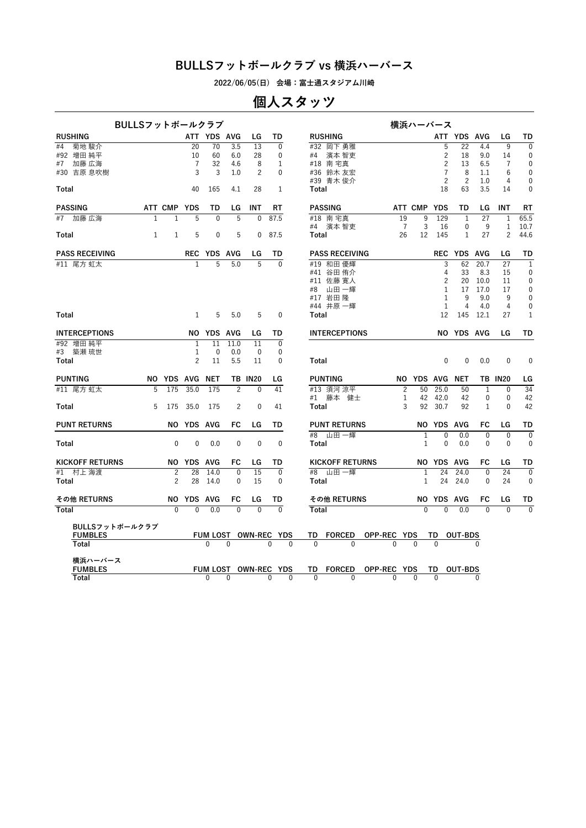**2022/06/05(日) 会場:富士通スタジアム川崎**

# **個人スタッツ**

| BULLSフットボールクラブ         |                |                |                |                |                |                |                      |          |                        |                | 横浜ハーバース        |                |                |                |                |                |
|------------------------|----------------|----------------|----------------|----------------|----------------|----------------|----------------------|----------|------------------------|----------------|----------------|----------------|----------------|----------------|----------------|----------------|
| <b>RUSHING</b>         |                |                |                | ATT YDS AVG    |                | LG             | TD                   |          | <b>RUSHING</b>         |                |                |                | ATT YDS AVG    |                | LG             | TD             |
| 菊地 駿介<br>#4            |                |                | 20             | 70             | 3.5            | 13             | $\Omega$             |          | #32 岡下勇雅               |                |                | 5              | 22             | 4.4            | 9              | $\overline{0}$ |
| #92 増田 純平              |                |                | 10             | 60             | 6.0            | 28             | $\mathbf{0}$         |          | #4 濱本 智吏               |                |                | $\overline{2}$ | 18             | 9.0            | 14             | $\mathbf 0$    |
| 加藤 広海<br>#7            |                |                | 7              | 32             | 4.6            | 8              | 1                    |          | #18 南宅真                |                |                | $\overline{c}$ | 13             | 6.5            | $\overline{7}$ | 0              |
| #30 吉原 息吹樹             |                |                | 3              | 3              | 1.0            | $\overline{c}$ | $\mathbf{0}$         |          | #36 鈴木友宏               |                |                | $\overline{7}$ | 8              | 1.1            | 6              | $\mathbf 0$    |
|                        |                |                |                |                |                |                |                      |          | #39 青木 俊介              |                |                | $\overline{c}$ | $\overline{2}$ | 1.0            | 4              | $\mathbf 0$    |
| Total                  |                |                | 40             | 165            | 4.1            | 28             | $\mathbf{1}$         |          | Total                  |                |                | 18             | 63             | 3.5            | 14             | $\mathbf{0}$   |
| <b>PASSING</b>         |                | ATT CMP YDS    |                | TD             | LG             | INT            | RT                   |          | <b>PASSING</b>         |                | ATT CMP YDS    |                | TD             | LG             | INT            | RT             |
| #7 加藤 広海               | $\overline{1}$ | $\overline{1}$ | 5              | $\overline{0}$ | 5              | $\overline{0}$ | 87.5                 |          | #18 南宅真                | 19             | $\overline{9}$ | 129            | $\mathbf{1}$   | 27             | $\mathbf{1}$   | 65.5           |
|                        |                |                |                |                |                |                |                      |          | #4  濱本 智吏              | $\overline{7}$ | 3              | 16             | 0              | 9              | $\mathbf{1}$   | 10.7           |
| Total                  | $\mathbf{1}$   | 1              | 5              | $\mathbf 0$    | 5              | 0              | 87.5                 |          | Total                  | 26             | 12             | 145            | 1              | 27             | 2              | 44.6           |
| <b>PASS RECEIVING</b>  |                |                |                | REC YDS AVG    |                | LG             | TD                   |          | <b>PASS RECEIVING</b>  |                |                |                | REC YDS AVG    |                | LG             | TD             |
| #11 尾方 虹太              |                |                | $\mathbf{1}$   | $\overline{5}$ | 5.0            | $\overline{5}$ | $\Omega$             |          | #19 和田優輝               |                |                | 3              | 62             | 20.7           | 27             | $\mathbf{1}$   |
|                        |                |                |                |                |                |                |                      |          | #41 谷田 侑介              |                |                | 4              | 33             | 8.3            | 15             | $\mathbf 0$    |
|                        |                |                |                |                |                |                |                      |          | #11 佐藤 寛人              |                |                | $\overline{c}$ | 20             | 10.0           | 11             | 0              |
|                        |                |                |                |                |                |                |                      |          | 山田 一輝<br>#8            |                |                | $\mathbf{1}$   | 17             | 17.0           | 17             | $\mathbf{0}$   |
|                        |                |                |                |                |                |                |                      |          | #17 岩田隆                |                |                | $\mathbf{1}$   | 9              | 9.0            | 9              | $\mathbf{0}$   |
|                        |                |                |                |                |                |                |                      |          | #44 井原 一輝              |                |                | $\mathbf{1}$   | 4              | 4.0            | 4              | 0              |
| Total                  |                |                | 1              | 5              | 5.0            | 5              | $\mathbf{0}$         |          | Total                  |                |                | 12             | 145            | 12.1           | 27             | 1              |
| <b>INTERCEPTIONS</b>   |                |                |                | NO YDS AVG     |                | LG             | TD                   |          | <b>INTERCEPTIONS</b>   |                |                |                | NO YDS AVG     |                | LG             | TD             |
| #92 増田 純平              |                |                | $\mathbf{1}$   | 11             | 11.0           | 11             | $\mathbf 0$          |          |                        |                |                |                |                |                |                |                |
| #3 築瀬 琉世               |                |                | 1              | $\mathbf 0$    | 0.0            | 0              | $\mathbf 0$          |          |                        |                |                |                |                |                |                |                |
| Total                  |                |                | $\overline{c}$ | 11             | 5.5            | 11             | $\mathbf{0}$         |          | Total                  |                |                | $\mathbf{0}$   | $\mathbf{0}$   | 0.0            | $\mathbf 0$    | $\mathbf 0$    |
| <b>PUNTING</b>         |                |                | NO YDS AVG NET |                |                | <b>TB IN20</b> | LG                   |          | <b>PUNTING</b>         |                | NO YDS AVG NET |                |                |                | <b>TB IN20</b> | LG             |
| #11 尾方 虹太              | 5              | 175            | 35.0           | 175            | $\overline{c}$ | $\overline{0}$ | 41                   |          | #13 須河 涼平              | $\overline{2}$ | 50             | 25.0           | 50             | $\mathbf{1}$   | $\mathbf{0}$   | 34             |
|                        |                |                |                |                |                |                |                      |          | #1 藤本 健士               | $\mathbf{1}$   | 42             | 42.0           | 42             | $\mathbf 0$    | $\mathbf 0$    | 42             |
| Total                  | 5              | 175            | 35.0           | 175            | 2              | $\mathbf{0}$   | 41                   |          | Total                  | 3              |                | 92 30.7        | 92             | $\mathbf{1}$   | $\Omega$       | 42             |
| <b>PUNT RETURNS</b>    |                |                | NO YDS AVG     |                | FC             | LG             | TD                   |          | <b>PUNT RETURNS</b>    |                |                | NO YDS AVG     |                | FC             | LG             | TD             |
|                        |                |                |                |                |                |                |                      |          | #8<br>山田 一輝            |                | $\mathbf{1}$   | $\mathbf{0}$   | 0.0            | $\mathbf{0}$   | $\mathbf{0}$   | $\Omega$       |
| Total                  |                | $\mathbf 0$    | $\mathbf 0$    | 0.0            | $\mathbf 0$    | $\mathbf{0}$   | $\mathbf 0$          |          | Total                  |                | $\mathbf{1}$   | $\mathbf 0$    | 0.0            | $\mathbf{0}$   | $\mathbf{0}$   | $\mathbf 0$    |
| <b>KICKOFF RETURNS</b> |                |                | NO YDS AVG     |                | FC             | LG             | TD                   |          | <b>KICKOFF RETURNS</b> |                |                | NO YDS AVG     |                | FC             | LG             | TD             |
| #1 村上 海渡               |                | $\overline{2}$ | 28             | 14.0           | $\mathbf 0$    | 15             | $\mathbf{0}$         |          | 山田 一輝<br>#8            |                | $\mathbf{1}$   | 24             | 24.0           | $\mathbf{0}$   | 24             | $\Omega$       |
| Total                  |                | $\overline{c}$ | 28             | 14.0           | $\mathbf{0}$   | 15             | $\mathbf{0}$         |          | Total                  |                | 1              | 24             | 24.0           | $\mathbf{0}$   | 24             | $\mathbf{0}$   |
|                        |                |                |                |                |                |                |                      |          |                        |                |                |                |                |                |                |                |
| その他 RETURNS            |                |                | NO YDS AVG     |                | FC             | LG             | TD                   |          | その他 RETURNS            |                |                | NO YDS AVG     |                | FC             | LG             | TD             |
| <b>Total</b>           |                | $\overline{0}$ | $\Omega$       | 0.0            | $\mathbf{0}$   | $\overline{0}$ | $\Omega$             |          | Total                  |                | $\overline{0}$ | $\overline{0}$ | 0.0            | $\overline{0}$ | $\overline{0}$ | $\overline{0}$ |
| BULLSフットボールクラブ         |                |                |                |                |                |                |                      |          |                        |                |                |                |                |                |                |                |
| <b>FUMBLES</b>         |                |                |                |                |                |                | FUM LOST OWN-REC YDS |          | TD FORCED OPP-REC YDS  |                |                | TD OUT-BDS     |                |                |                |                |
| Total                  |                |                |                | $\Omega$       | $\Omega$       |                | $\Omega$             | $\Omega$ | $\Omega$<br>$\Omega$   | $\Omega$       | $\Omega$       | $\Omega$       |                |                |                |                |
| 横浜ハーバース                |                |                |                |                |                |                |                      |          |                        |                |                |                |                |                |                |                |
| <b>FUMBLES</b>         |                |                |                |                |                |                | FUM LOST OWN-REC YDS |          | TD.<br><b>FORCED</b>   | OPP-REC YDS    |                | TD.            | <b>OUT-BDS</b> |                |                |                |
| Total                  |                |                |                | $\Omega$       | $\mathbf{0}$   |                | $\Omega$             | $\Omega$ | $\Omega$<br>$\Omega$   | $\Omega$       | $\Omega$       | $\Omega$       |                | $\Omega$       |                |                |
|                        |                |                |                |                |                |                |                      |          |                        |                |                |                |                |                |                |                |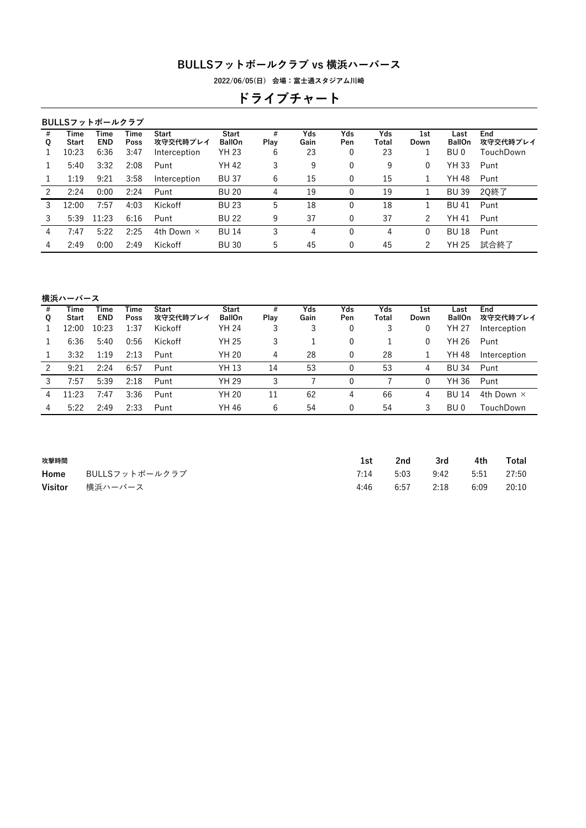**2022/06/05(日) 会場:富士通スタジアム川崎**

# **ドライブチャート**

|        |               | BULLSフットボールクラブ     |              |                          |                               |           |             |              |              |              |                       |                 |
|--------|---------------|--------------------|--------------|--------------------------|-------------------------------|-----------|-------------|--------------|--------------|--------------|-----------------------|-----------------|
| #<br>Q | Time<br>Start | Time<br><b>END</b> | Time<br>Poss | <b>Start</b><br>攻守交代時プレイ | <b>Start</b><br><b>BallOn</b> | #<br>Play | Yds<br>Gain | Yds<br>Pen   | Yds<br>Total | 1st<br>Down  | Last<br><b>BallOn</b> | End<br>攻守交代時プレイ |
|        | 10:23         | 6:36               | 3:47         | Interception             | <b>YH 23</b>                  | 6         | 23          | 0            | 23           |              | BU 0                  | TouchDown       |
|        | 5:40          | 3:32               | 2:08         | Punt                     | YH 42                         | 3         | 9           | 0            | 9            | $\mathbf{0}$ | YH 33                 | Punt            |
|        | 1:19          | 9:21               | 3:58         | Interception             | <b>BU 37</b>                  | 6         | 15          | 0            | 15           | 1            | YH 48                 | Punt            |
| 2      | 2:24          | 0:00               | 2:24         | Punt                     | <b>BU 20</b>                  | 4         | 19          | 0            | 19           |              | <b>BU 39</b>          | 2Q終了            |
| 3      | 12:00         | 7:57               | 4:03         | Kickoff                  | <b>BU 23</b>                  | 5         | 18          | 0            | 18           |              | BU 41                 | Punt            |
| 3      | 5:39          | 11:23              | 6:16         | Punt                     | <b>BU 22</b>                  | 9         | 37          | 0            | 37           | 2            | YH 41                 | Punt            |
| 4      | 7:47          | 5:22               | 2:25         | 4th Down $\times$        | <b>BU 14</b>                  | 3         | 4           | $\mathbf{0}$ | 4            | $\mathbf{0}$ | <b>BU 18</b>          | Punt            |
| 4      | 2:49          | 0:00               | 2:49         | Kickoff                  | <b>BU30</b>                   | 5         | 45          | 0            | 45           | 2            | YH 25                 | 試合終了            |
|        |               |                    |              |                          |                               |           |             |              |              |              |                       |                 |

**横浜ハーバース**

| #<br>Q | Time<br><b>Start</b> | Time<br><b>END</b> | Time<br>Poss | <b>Start</b><br>攻守交代時プレイ | <b>Start</b><br><b>BallOn</b> | #<br>Plav | Yds<br>Gain | Yds<br>Pen | Yds<br>Total | 1st<br>Down | Last<br><b>BallOn</b> | End<br>攻守交代時プレイ   |
|--------|----------------------|--------------------|--------------|--------------------------|-------------------------------|-----------|-------------|------------|--------------|-------------|-----------------------|-------------------|
|        | 12:00                | LO:23              | 1:37         | Kickoff                  | YH 24                         | 3         | 3           | 0          | 3            | 0           | YH 27                 | Interception      |
|        | 6:36                 | 5:40               | 0:56         | Kickoff                  | <b>YH 25</b>                  | 3         |             |            |              | 0           | YH 26                 | Punt              |
|        | 3:32                 | 1:19               | 2:13         | Punt                     | YH 20                         | 4         | 28          | 0          | 28           |             | YH 48                 | Interception      |
| ာ      | 9:21                 | 2:24               | 6:57         | Punt                     | YH 13                         | 14        | 53          |            | 53           | 4           | <b>BU 34</b>          | Punt              |
| 3      | 7:57                 | 5:39               | 2:18         | Punt                     | YH 29                         | 3         |             |            |              | 0           | YH 36                 | Punt              |
| 4      | 11:23                | 7:47               | 3:36         | Punt                     | YH 20                         | 11        | 62          | 4          | 66           | 4           | <b>BU 14</b>          | 4th Down $\times$ |
| 4      | 5:22                 | 2:49               | 2:33         | Punt                     | YH 46                         | 6         | 54          |            | 54           | 3           | BU 0                  | TouchDown         |
|        |                      |                    |              |                          |                               |           |             |            |              |             |                       |                   |

| 攻撃時間    |                | 1st  | 2nd  | 3rd  | 4th  | Total |
|---------|----------------|------|------|------|------|-------|
| Home    | BULLSフットボールクラブ | 7:14 | 5:03 | 9:42 | 5:51 | 27:50 |
| Visitor | 構浜ハーバース        | 4:46 | 6:57 | 2:18 | 6:09 | 20:10 |
|         |                |      |      |      |      |       |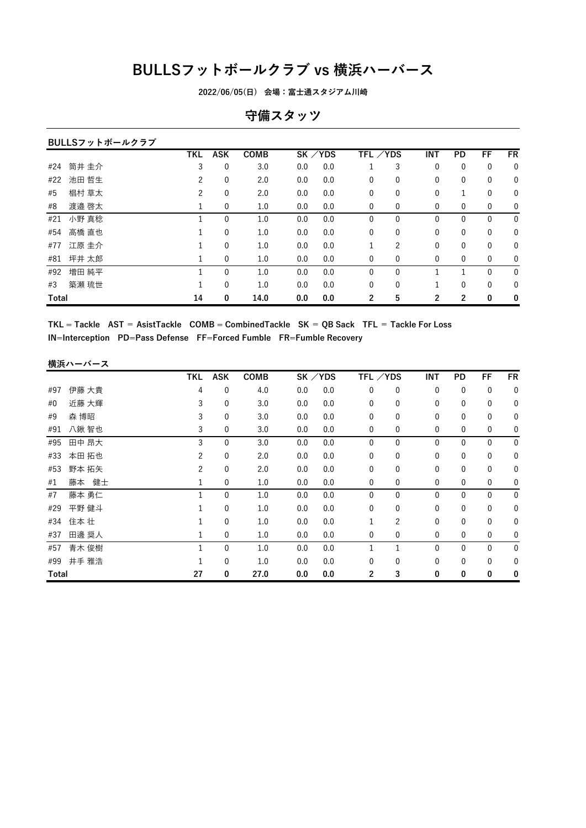**2022/06/05(日) 会場:富士通スタジアム川崎**

### **守備スタッツ**

|       | BULLSフットボールクラブ |            |             |             |     |           |              |                |              |              |              |             |
|-------|----------------|------------|-------------|-------------|-----|-----------|--------------|----------------|--------------|--------------|--------------|-------------|
|       |                | <b>TKL</b> | <b>ASK</b>  | <b>COMB</b> |     | $SK$ /YDS | TFL ∕YDS     |                | <b>INT</b>   | PD           | FF           | <b>FR</b>   |
| #24   | 筒井 圭介          | 3          | 0           | 3.0         | 0.0 | 0.0       |              | 3              | 0            | 0            | 0            | $\mathbf 0$ |
| #22   | 池田 哲生          | 2          | 0           | 2.0         | 0.0 | 0.0       | $\mathbf{0}$ | $\mathbf{0}$   | $\mathbf{0}$ | $\mathbf{0}$ | 0            | $\mathbf 0$ |
| #5    | 椙村 草太          | 2          | 0           | 2.0         | 0.0 | 0.0       | $\mathbf{0}$ | 0              | $\mathbf{0}$ | 1            | $\mathbf{0}$ | $\mathbf 0$ |
| #8    | 渡邉 啓太          | 1          | $\mathbf 0$ | 1.0         | 0.0 | 0.0       | 0            | $\mathbf{0}$   | $\mathbf{0}$ | 0            | 0            | $\mathbf 0$ |
| #21   | 小野 真稔          |            | 0           | 1.0         | 0.0 | 0.0       | 0            | 0              | $\mathbf{0}$ | 0            | $\mathbf{0}$ | $\mathbf 0$ |
| #54   | 高橋 直也          |            | $\mathbf 0$ | 1.0         | 0.0 | 0.0       | $\mathbf{0}$ | 0              | $\mathbf{0}$ | 0            | 0            | $\mathbf 0$ |
| #77   | 江原 圭介          |            | 0           | 1.0         | 0.0 | 0.0       |              | $\overline{c}$ | $\mathbf{0}$ | $\mathbf{0}$ | $\mathbf{0}$ | $\mathbf 0$ |
| #81   | 坪井 太郎          | 1          | $\mathbf 0$ | 1.0         | 0.0 | 0.0       | 0            | 0              | $\mathbf{0}$ | $\mathbf{0}$ | 0            | $\mathbf 0$ |
| #92   | 増田 純平          |            | 0           | 1.0         | 0.0 | 0.0       | 0            | 0              |              |              | 0            | $\mathbf 0$ |
| #3    | 築瀬 琉世          |            | $\mathbf 0$ | 1.0         | 0.0 | 0.0       | $\mathbf{0}$ | $\mathbf{0}$   | 1            | 0            | $\mathbf{0}$ | $\mathbf 0$ |
| Total |                | 14         | 0           | 14.0        | 0.0 | 0.0       | 2            | 5              | 2            | 2            | 0            | 0           |

 $TKL = Tackle$  AST = AsistTackle COMB = CombinedTackle SK = QB Sack TFL = Tackle For Loss **IN=Interception PD=Pass Defense FF=Forced Fumble FR=Fumble Recovery**

#### **横浜ハーバース**

|       |       | TKL | <b>ASK</b>   | <b>COMB</b> |     | $SK$ /YDS | TFL /YDS     |                | INT          | PD           | FF           | FR          |
|-------|-------|-----|--------------|-------------|-----|-----------|--------------|----------------|--------------|--------------|--------------|-------------|
| #97   | 伊藤 大貴 | 4   | 0            | 4.0         | 0.0 | 0.0       | $\mathbf{0}$ | $\mathbf{0}$   | $\mathbf{0}$ | $\mathbf 0$  | 0            | 0           |
| #0    | 近藤 大輝 | 3   | $\mathbf 0$  | 3.0         | 0.0 | 0.0       | $\mathbf{0}$ | $\mathbf{0}$   | 0            | $\mathbf{0}$ | 0            | 0           |
| #9    | 森 博昭  | 3   | $\mathbf 0$  | 3.0         | 0.0 | 0.0       | 0            | 0              | 0            | 0            | 0            | 0           |
| #91   | 八鍬 智也 | 3   | 0            | 3.0         | 0.0 | 0.0       | $\mathbf{0}$ | 0              | $\mathbf 0$  | $\mathbf 0$  | 0            | 0           |
| #95   | 田中 昂大 | 3   | $\mathbf 0$  | 3.0         | 0.0 | 0.0       | $\mathbf{0}$ | $\mathbf{0}$   | $\mathbf{0}$ | $\mathbf{0}$ | $\mathbf{0}$ | 0           |
| #33   | 本田 拓也 | 2   | 0            | 2.0         | 0.0 | 0.0       | 0            | 0              | 0            | $\mathbf 0$  | 0            | 0           |
| #53   | 野本 拓矢 | 2   | 0            | 2.0         | 0.0 | 0.0       | $\mathbf{0}$ | $\mathbf{0}$   | $\mathbf{0}$ | $\mathbf{0}$ | 0            | 0           |
| #1    | 藤本 健士 |     | $\mathbf 0$  | 1.0         | 0.0 | 0.0       | 0            | 0              | 0            | 0            | 0            | 0           |
| #7    | 藤本 勇仁 |     | $\mathbf 0$  | 1.0         | 0.0 | 0.0       | 0            | 0              | 0            | $\mathbf 0$  | 0            | $\mathbf 0$ |
| #29   | 平野 健斗 |     | $\mathbf{0}$ | 1.0         | 0.0 | 0.0       | $\mathbf{0}$ | $\mathbf{0}$   | $\mathbf{0}$ | $\mathbf{0}$ | $\mathbf{0}$ | 0           |
| #34   | 住本壮   |     | $\mathbf 0$  | 1.0         | 0.0 | 0.0       |              | $\overline{c}$ | $\mathbf{0}$ | $\mathbf{0}$ | $\mathbf{0}$ | 0           |
| #37   | 田邊 奨人 |     | 0            | 1.0         | 0.0 | 0.0       | 0            | 0              | 0            | $\mathbf 0$  | 0            | 0           |
| #57   | 青木 俊樹 |     | $\mathbf{0}$ | 1.0         | 0.0 | 0.0       |              | 1              | $\mathbf{0}$ | $\mathbf{0}$ | $\mathbf{0}$ | 0           |
| #99   | 井手 雅浩 |     | $\mathbf 0$  | 1.0         | 0.0 | 0.0       | $\Omega$     | 0              | $\mathbf{0}$ | $\mathbf{0}$ | 0            | 0           |
| Total |       | 27  | 0            | 27.0        | 0.0 | 0.0       | 2            | 3              | 0            | 0            | 0            | 0           |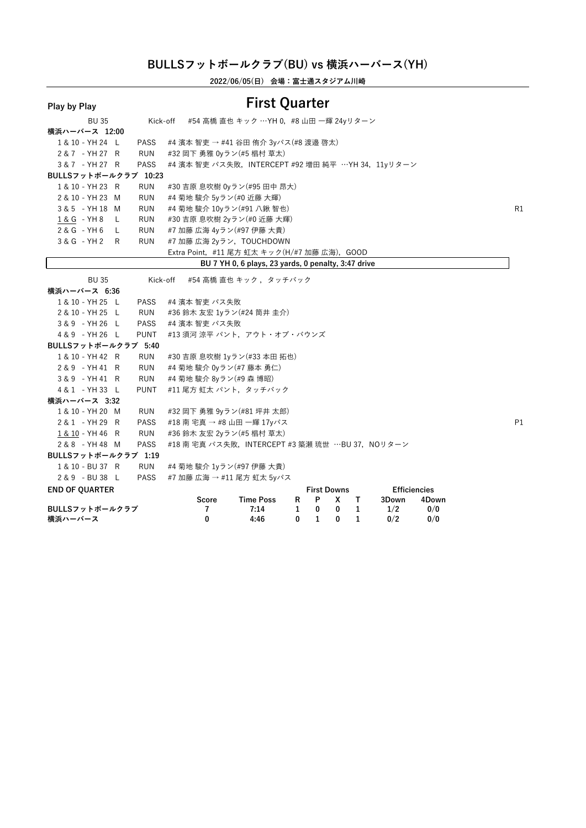**2022/06/05(日) 会場:富士通スタジアム川崎**

| Play by Play                        |                    |                                                       | <b>First Quarter</b>                                |   |                         |              |              |       |                              |    |
|-------------------------------------|--------------------|-------------------------------------------------------|-----------------------------------------------------|---|-------------------------|--------------|--------------|-------|------------------------------|----|
| <b>BU 35</b>                        | Kick-off           |                                                       | #54 高橋 直也 キック …YH 0, #8 山田 一輝 24yリターン               |   |                         |              |              |       |                              |    |
| 横浜ハーバース 12:00                       |                    |                                                       |                                                     |   |                         |              |              |       |                              |    |
| 1 & 10 - YH 24 L                    | <b>PASS</b>        | #4 濱本 智吏 → #41 谷田 侑介 3yパス(#8 渡邉 啓太)                   |                                                     |   |                         |              |              |       |                              |    |
| 2 & 7 - YH 27 R                     | RUN                | #32 岡下 勇雅 0yラン(#5 椙村 草太)                              |                                                     |   |                         |              |              |       |                              |    |
| 3 & 7 - YH 27 R                     | <b>PASS</b>        | #4 濱本 智吏 パス失敗, INTERCEPT #92 増田 純平 …YH 34, 11yリターン    |                                                     |   |                         |              |              |       |                              |    |
| BULLSフットボールクラブ 10:23                |                    |                                                       |                                                     |   |                         |              |              |       |                              |    |
| 1 & 10 - YH 23 R                    | <b>RUN</b>         | #30 吉原 息吹樹 0yラン(#95 田中 昂大)                            |                                                     |   |                         |              |              |       |                              |    |
| 2 & 10 - YH 23 M                    | <b>RUN</b>         | #4 菊地 駿介 5yラン(#0 近藤 大輝)                               |                                                     |   |                         |              |              |       |                              |    |
| 3 & 5 - YH 18 M                     | <b>RUN</b>         | #4 菊地 駿介 10yラン(#91 八鍬 智也)                             |                                                     |   |                         |              |              |       |                              | R1 |
| $1 & 6 - YH8 L$                     | <b>RUN</b>         | #30 吉原 息吹樹 2yラン(#0 近藤 大輝)                             |                                                     |   |                         |              |              |       |                              |    |
| 2& G - YH 6 L                       | <b>RUN</b>         | #7 加藤 広海 4yラン(#97 伊藤 大貴)                              |                                                     |   |                         |              |              |       |                              |    |
| 3& G - YH 2 R                       | <b>RUN</b>         | #7 加藤 広海 2yラン, TOUCHDOWN                              |                                                     |   |                         |              |              |       |                              |    |
|                                     |                    | Extra Point, #11 尾方 虹太 キック(H/#7 加藤 広海), GOOD          |                                                     |   |                         |              |              |       |                              |    |
|                                     |                    |                                                       | BU 7 YH 0, 6 plays, 23 yards, 0 penalty, 3:47 drive |   |                         |              |              |       |                              |    |
| <b>BU 35</b>                        | Kick-off           |                                                       | #54 高橋 直也 キック ,タッチバック                               |   |                         |              |              |       |                              |    |
| 横浜ハーバース 6:36                        |                    |                                                       |                                                     |   |                         |              |              |       |                              |    |
| 1 & 10 - YH 25 L                    | PASS               | #4 濱本 智吏 パス失敗                                         |                                                     |   |                         |              |              |       |                              |    |
| 2 & 10 - YH 25 L                    | RUN                | #36 鈴木 友宏 1yラン(#24 筒井 圭介)                             |                                                     |   |                         |              |              |       |                              |    |
| 3&9 - YH 26 L                       | PASS               | #4 濱本 智吏 パス失敗                                         |                                                     |   |                         |              |              |       |                              |    |
| 4&9 - YH 26 L                       | PUNT               | #13 須河 涼平 パント,アウト・オブ・バウンズ                             |                                                     |   |                         |              |              |       |                              |    |
| BULLSフットボールクラブ 5:40                 |                    |                                                       |                                                     |   |                         |              |              |       |                              |    |
| 1 & 10 - YH 42 R                    | RUN                | #30 吉原 息吹樹 1yラン(#33 本田 拓也)                            |                                                     |   |                         |              |              |       |                              |    |
| 2 & 9 - YH 41 R                     | RUN                | #4 菊地 駿介 0yラン(#7 藤本 勇仁)                               |                                                     |   |                         |              |              |       |                              |    |
| 3&9 - YH41 R                        | RUN                | #4 菊地 駿介 8yラン(#9 森 博昭)                                |                                                     |   |                         |              |              |       |                              |    |
| 4 & 1 - YH 33 L                     | <b>PUNT</b>        | #11 尾方 虹太 パント, タッチバック                                 |                                                     |   |                         |              |              |       |                              |    |
| 横浜ハーバース 3:32                        |                    |                                                       |                                                     |   |                         |              |              |       |                              |    |
| 1 & 10 - YH 20 M                    | RUN                | #32 岡下 勇雅 9yラン(#81 坪井 太郎)                             |                                                     |   |                         |              |              |       |                              |    |
| 2 & 1 - YH 29 R                     | <b>PASS</b>        | #18 南 宅真 → #8 山田 一輝 17yパス                             |                                                     |   |                         |              |              |       |                              | P1 |
| 1 & 10 - YH 46 R                    | <b>RUN</b>         | #36 鈴木 友宏 2yラン(#5 椙村 草太)                              |                                                     |   |                         |              |              |       |                              |    |
| 2 & 8 - YH 48 M                     | <b>PASS</b>        | #18 南 宅真 パス失敗, INTERCEPT #3 築瀬 琉世 …BU 37, NOリターン      |                                                     |   |                         |              |              |       |                              |    |
| BULLSフットボールクラブ 1:19                 |                    |                                                       |                                                     |   |                         |              |              |       |                              |    |
| 1 & 10 - BU 37 R<br>2 & 9 - BU 38 L | <b>RUN</b><br>PASS | #4 菊地 駿介 1yラン(#97 伊藤 大貴)<br>#7 加藤 広海 → #11 尾方 虹太 5yパス |                                                     |   |                         |              |              |       |                              |    |
|                                     |                    |                                                       |                                                     |   |                         |              |              |       |                              |    |
| <b>END OF QUARTER</b>               |                    | Score                                                 | <b>Time Poss</b>                                    | R | <b>First Downs</b><br>P | X            | T.           | 3Down | <b>Efficiencies</b><br>4Down |    |
| BULLSフットボールクラブ                      |                    | 7                                                     | 7:14                                                | 1 | 0                       | 0            | $\mathbf{1}$ | 1/2   | 0/0                          |    |
| 構近ハーバース                             |                    | $\Omega$                                              | 4.46                                                |   | 0 1                     | $\mathbf{0}$ | $\mathbf{1}$ | 0/2   | 0/0                          |    |

**横浜ハーバース <sup>0</sup> 4:46 <sup>0</sup> <sup>1</sup> <sup>0</sup> <sup>1</sup> 0/2 0/0**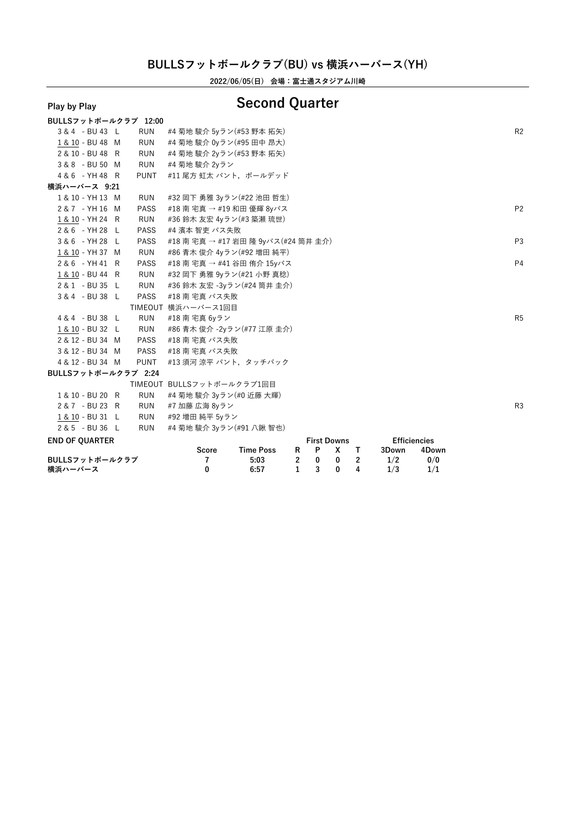**2022/06/05(日) 会場:富士通スタジアム川崎**

# **Play by Play Second Quarter**

| 構近ハーバース               |             | $\Omega$                            | 6:57             |                | $\frac{1}{3}$ | $\mathbf{0}$            | 4              | 1/3   | 1/1                          |                |
|-----------------------|-------------|-------------------------------------|------------------|----------------|---------------|-------------------------|----------------|-------|------------------------------|----------------|
| BULLSフットボールクラブ        |             | 7                                   | 5:03             | $\overline{2}$ | $\bf{0}$      | $\bf{0}$                | $\overline{2}$ | 1/2   | 0/0                          |                |
| <b>END OF QUARTER</b> |             | Score                               | <b>Time Poss</b> | R              | P             | <b>First Downs</b><br>X | $\top$         | 3Down | <b>Efficiencies</b><br>4Down |                |
| 2 & 5 - BU 36 L       | <b>RUN</b>  | #4 菊地 駿介 3yラン(#91 八鍬 智也)            |                  |                |               |                         |                |       |                              |                |
| 1 & 10 - BU 31 L      | <b>RUN</b>  | #92 増田 純平 5yラン                      |                  |                |               |                         |                |       |                              |                |
| 2 & 7 - BU 23 R       | <b>RUN</b>  | #7 加藤 広海 8yラン                       |                  |                |               |                         |                |       |                              | R <sub>3</sub> |
| 1 & 10 - BU 20 R      | <b>RUN</b>  | #4 菊地 駿介 3yラン(#0 近藤 大輝)             |                  |                |               |                         |                |       |                              |                |
|                       |             | TIMEOUT BULLSフットボールクラブ1回目           |                  |                |               |                         |                |       |                              |                |
| BULLSフットボールクラブ 2:24   |             |                                     |                  |                |               |                         |                |       |                              |                |
| 4 & 12 - BU 34 M      | <b>PUNT</b> | #13 須河 涼平 パント, タッチバック               |                  |                |               |                         |                |       |                              |                |
| 3 & 12 - BU 34 M      | PASS        | #18 南 宅真 パス失敗                       |                  |                |               |                         |                |       |                              |                |
| 2 & 12 - BU 34 M      | <b>PASS</b> | #18 南 宅真 パス失敗                       |                  |                |               |                         |                |       |                              |                |
| 1 & 10 - BU 32 L      | RUN         | #86 青木 俊介 -2yラン(#77 江原 圭介)          |                  |                |               |                         |                |       |                              |                |
| 4 & 4 - BU 38 L       | <b>RUN</b>  | #18 南 宅真 6yラン                       |                  |                |               |                         |                |       |                              | R <sub>5</sub> |
|                       |             | TIMEOUT 横浜ハーバース1回目                  |                  |                |               |                         |                |       |                              |                |
| 3 & 4 - BU 38 L       | <b>PASS</b> | #18 南 宅真 パス失敗                       |                  |                |               |                         |                |       |                              |                |
| 2 & 1 - BU 35 L       | RUN         | #36 鈴木 友宏 -3yラン(#24 筒井 圭介)          |                  |                |               |                         |                |       |                              |                |
| 1 & 10 - BU 44 R      | RUN         | #32 岡下 勇雅 9yラン(#21 小野 真稔)           |                  |                |               |                         |                |       |                              |                |
| 2 & 6 - YH 41 R       | PASS        | #18 南 宅真 → #41 谷田 侑介 15yパス          |                  |                |               |                         |                |       |                              | P <sub>4</sub> |
| 1 & 10 - YH 37 M      | <b>RUN</b>  | #86 青木 俊介 4yラン(#92 増田 純平)           |                  |                |               |                         |                |       |                              |                |
| 3&6 - YH 28 L         | <b>PASS</b> | #18 南 宅真 → #17 岩田 隆 9yパス(#24 筒井 圭介) |                  |                |               |                         |                |       |                              | P <sub>3</sub> |
| 2 & 6 - YH 28 L       | PASS        | #4 濱本 智吏 パス失敗                       |                  |                |               |                         |                |       |                              |                |
| 1 & 10 - YH 24 R      | RUN         | #36 鈴木 友宏 4yラン(#3 築瀬 琉世)            |                  |                |               |                         |                |       |                              |                |
| 2 & 7 - YH 16 M       | <b>PASS</b> | #18 南 宅真 → #19 和田 優輝 8yパス           |                  |                |               |                         |                |       |                              | P <sub>2</sub> |
| 1 & 10 - YH 13 M      | RUN         | #32 岡下 勇雅 3yラン(#22 池田 哲生)           |                  |                |               |                         |                |       |                              |                |
| 横浜ハーバース 9:21          |             |                                     |                  |                |               |                         |                |       |                              |                |
| 4 & 6 - YH 48 R       | <b>PUNT</b> | #11 尾方 虹太 パント,ボールデッド                |                  |                |               |                         |                |       |                              |                |
| 3 & 8 - BU 50 M       | <b>RUN</b>  | #4 菊地 駿介 2yラン                       |                  |                |               |                         |                |       |                              |                |
| 2 & 10 - BU 48 R      | <b>RUN</b>  | #4 菊地 駿介 2yラン(#53 野本 拓矢)            |                  |                |               |                         |                |       |                              |                |
| 1 & 10 - BU 48 M      | RUN         | #4 菊地 駿介 0yラン(#95 田中 昂大)            |                  |                |               |                         |                |       |                              |                |
| 3 & 4 - BU 43 L       | <b>RUN</b>  | #4 菊地 駿介 5yラン(#53 野本 拓矢)            |                  |                |               |                         |                |       |                              | R <sub>2</sub> |
| BULLSフットボールクラブ 12:00  |             |                                     |                  |                |               |                         |                |       |                              |                |

**横浜ハーバース <sup>0</sup> 6:57 <sup>1</sup> <sup>3</sup> <sup>0</sup> <sup>4</sup> 1/3 1/1**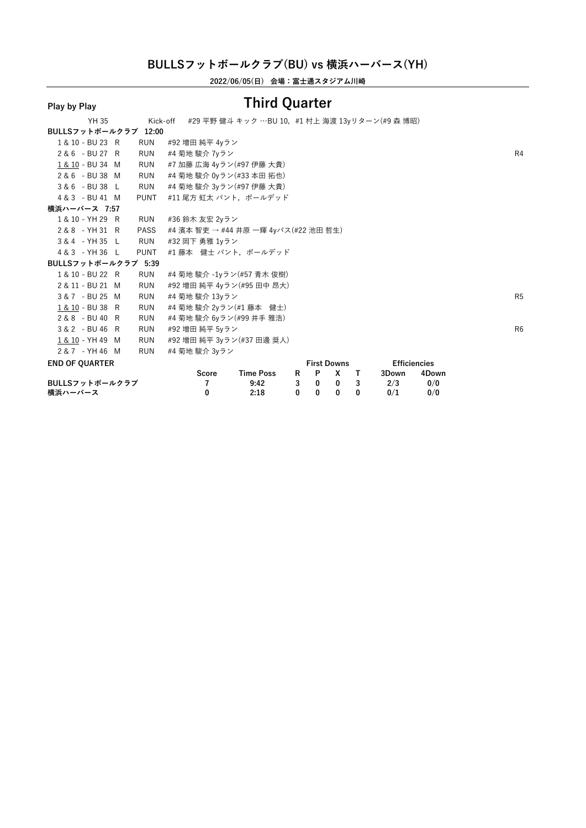**2022/06/05(日) 会場:富士通スタジアム川崎**

| 構近ハーバース                        | $\mathbf{0}$                         | 2:18                                             |              | 000                       |                          | $\mathbf{0}$            | 0/1                          | 0/0   |                |
|--------------------------------|--------------------------------------|--------------------------------------------------|--------------|---------------------------|--------------------------|-------------------------|------------------------------|-------|----------------|
| BULLSフットボールクラブ                 | 7                                    | 9:42                                             | $\mathbf{3}$ | $\overline{\mathbf{0}}$   | $\overline{\phantom{0}}$ | $\overline{\mathbf{3}}$ | 2/3                          | 0/0   |                |
| <b>END OF OUARTER</b>          | Score                                | <b>Time Poss</b>                                 |              | <b>First Downs</b><br>R P | X                        | $\mathsf{T}$            | <b>Efficiencies</b><br>3Down | 4Down |                |
| 2 & 7 - YH 46 M<br><b>RUN</b>  | #4 菊地 駿介 3yラン                        |                                                  |              |                           |                          |                         |                              |       |                |
| 1 & 10 - YH 49 M<br><b>RUN</b> | #92 増田 純平 3yラン(#37 田邊 奨人)            |                                                  |              |                           |                          |                         |                              |       |                |
| 3 & 2 - BU 46 R<br>RUN         | #92 増田 純平 5yラン                       |                                                  |              |                           |                          |                         |                              |       | R <sub>6</sub> |
| 2 & 8 - BU 40 R<br><b>RUN</b>  | #4 菊地 駿介 6yラン(#99 井手 雅浩)             |                                                  |              |                           |                          |                         |                              |       |                |
| 1 & 10 - BU 38 R<br><b>RUN</b> | #4 菊地 駿介 2yラン(#1 藤本 健士)              |                                                  |              |                           |                          |                         |                              |       |                |
| 3 & 7 - BU 25 M<br>RUN         | #4 菊地 駿介 13yラン                       |                                                  |              |                           |                          |                         |                              |       | R <sub>5</sub> |
| 2 & 11 - BU 21 M<br><b>RUN</b> | #92 増田 純平 4yラン(#95 田中 昂大)            |                                                  |              |                           |                          |                         |                              |       |                |
| 1 & 10 - BU 22 R<br>RUN        | #4 菊地 駿介 -1yラン(#57 青木 俊樹)            |                                                  |              |                           |                          |                         |                              |       |                |
| BULLSフットボールクラブ 5:39            |                                      |                                                  |              |                           |                          |                         |                              |       |                |
| 4 & 3 - YH 36 L<br><b>PUNT</b> | #1 藤本 健士 パント, ボールデッド                 |                                                  |              |                           |                          |                         |                              |       |                |
| 3 & 4 - YH 35 L<br>RUN         | #32 岡下 勇雅 1yラン                       |                                                  |              |                           |                          |                         |                              |       |                |
| 2 & 8 - YH 31 R<br><b>PASS</b> | #4 濱本 智吏 → #44 井原 一輝 4yパス(#22 池田 哲生) |                                                  |              |                           |                          |                         |                              |       |                |
| 1 & 10 - YH 29 R<br>RUN        | #36 鈴木 友宏 2yラン                       |                                                  |              |                           |                          |                         |                              |       |                |
| 横浜ハーバース 7:57                   |                                      |                                                  |              |                           |                          |                         |                              |       |                |
| 4 & 3 - BU 41 M<br><b>PUNT</b> | #11 尾方 虹太 パント,ボールデッド                 |                                                  |              |                           |                          |                         |                              |       |                |
| 3 & 6 - BU 38 L<br><b>RUN</b>  | #4 菊地 駿介 3yラン(#97 伊藤 大貴)             |                                                  |              |                           |                          |                         |                              |       |                |
| 2 & 6 - BU 38 M<br>RUN         | #4 菊地 駿介 0yラン(#33 本田 拓也)             |                                                  |              |                           |                          |                         |                              |       |                |
| 1 & 10 - BU 34 M<br><b>RUN</b> | #7 加藤 広海 4vラン(#97 伊藤 大貴)             |                                                  |              |                           |                          |                         |                              |       |                |
| 2 & 6 - BU 27 R<br><b>RUN</b>  | #4 菊地 駿介 7yラン                        |                                                  |              |                           |                          |                         |                              |       | R4             |
| 1 & 10 - BU 23 R<br><b>RUN</b> | #92 増田 純平 4yラン                       |                                                  |              |                           |                          |                         |                              |       |                |
| BULLSフットボールクラブ 12:00           |                                      |                                                  |              |                           |                          |                         |                              |       |                |
| YH 35                          | Kick-off                             | - #29 平野 健斗 キック …BU 10,#1 村上 海渡 13yリターン(#9 森 博昭) |              |                           |                          |                         |                              |       |                |
|                                |                                      |                                                  |              |                           |                          |                         |                              |       |                |

**横浜ハーバース <sup>0</sup> 2:18 <sup>0</sup> <sup>0</sup> <sup>0</sup> <sup>0</sup> 0/1 0/0**

## **Play by Play Third Quarter**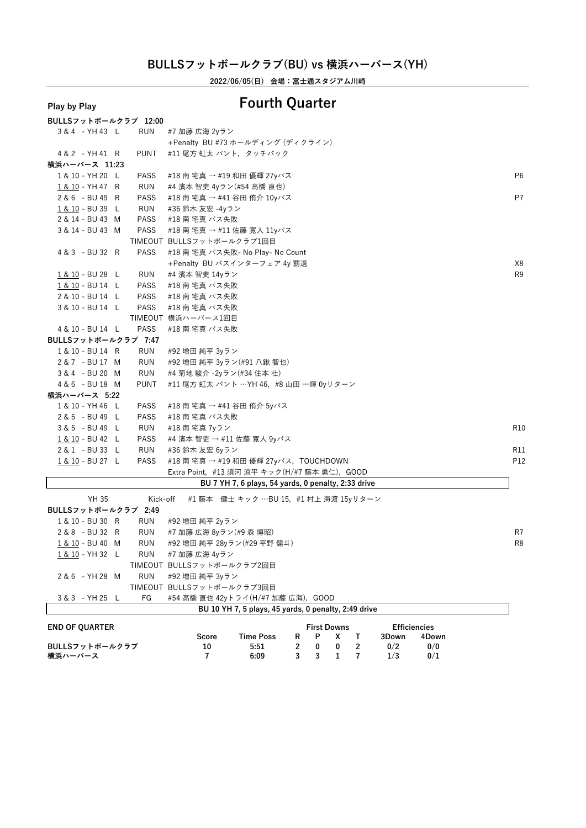**2022/06/05(日) 会場:富士通スタジアム川崎**

# **Play by Play Fourth Quarter**

|  |              | <b>RUN</b>                                                                                                                                                                                                                                                                                                                                                                                                                                                                                                                                                                                                            | #7 加藤 広海 2yラン                                                                                                |                                                                                                                                                                                                                                                                                                    |
|--|--------------|-----------------------------------------------------------------------------------------------------------------------------------------------------------------------------------------------------------------------------------------------------------------------------------------------------------------------------------------------------------------------------------------------------------------------------------------------------------------------------------------------------------------------------------------------------------------------------------------------------------------------|--------------------------------------------------------------------------------------------------------------|----------------------------------------------------------------------------------------------------------------------------------------------------------------------------------------------------------------------------------------------------------------------------------------------------|
|  |              |                                                                                                                                                                                                                                                                                                                                                                                                                                                                                                                                                                                                                       | +Penalty BU #73 ホールディング (ディクライン)                                                                             |                                                                                                                                                                                                                                                                                                    |
|  |              | <b>PUNT</b>                                                                                                                                                                                                                                                                                                                                                                                                                                                                                                                                                                                                           | #11 尾方 虹太 パント, タッチバック                                                                                        |                                                                                                                                                                                                                                                                                                    |
|  |              |                                                                                                                                                                                                                                                                                                                                                                                                                                                                                                                                                                                                                       |                                                                                                              |                                                                                                                                                                                                                                                                                                    |
|  |              | PASS                                                                                                                                                                                                                                                                                                                                                                                                                                                                                                                                                                                                                  | #18 南 宅真 → #19 和田 優輝 27yパス                                                                                   | P <sub>6</sub>                                                                                                                                                                                                                                                                                     |
|  |              | RUN                                                                                                                                                                                                                                                                                                                                                                                                                                                                                                                                                                                                                   | #4 濱本 智吏 4yラン(#54 高橋 直也)                                                                                     |                                                                                                                                                                                                                                                                                                    |
|  |              | PASS                                                                                                                                                                                                                                                                                                                                                                                                                                                                                                                                                                                                                  | #18 南 宅真 → #41 谷田 侑介 10yパス                                                                                   | P7                                                                                                                                                                                                                                                                                                 |
|  |              | RUN                                                                                                                                                                                                                                                                                                                                                                                                                                                                                                                                                                                                                   | #36 鈴木 友宏 -4yラン                                                                                              |                                                                                                                                                                                                                                                                                                    |
|  |              | PASS                                                                                                                                                                                                                                                                                                                                                                                                                                                                                                                                                                                                                  | #18 南 宅真 パス失敗                                                                                                |                                                                                                                                                                                                                                                                                                    |
|  |              | PASS                                                                                                                                                                                                                                                                                                                                                                                                                                                                                                                                                                                                                  | #18 南 宅真 → #11 佐藤 寛人 11yパス                                                                                   |                                                                                                                                                                                                                                                                                                    |
|  |              |                                                                                                                                                                                                                                                                                                                                                                                                                                                                                                                                                                                                                       |                                                                                                              |                                                                                                                                                                                                                                                                                                    |
|  |              | <b>PASS</b>                                                                                                                                                                                                                                                                                                                                                                                                                                                                                                                                                                                                           | #18 南 宅真 パス失敗- No Play- No Count                                                                             |                                                                                                                                                                                                                                                                                                    |
|  |              |                                                                                                                                                                                                                                                                                                                                                                                                                                                                                                                                                                                                                       | +Penalty BU パスインターフェア 4y 罰退                                                                                  | X8                                                                                                                                                                                                                                                                                                 |
|  |              | RUN                                                                                                                                                                                                                                                                                                                                                                                                                                                                                                                                                                                                                   | #4 濱本 智吏 14yラン                                                                                               | R <sub>9</sub>                                                                                                                                                                                                                                                                                     |
|  |              | PASS                                                                                                                                                                                                                                                                                                                                                                                                                                                                                                                                                                                                                  | #18 南 宅真 パス失敗                                                                                                |                                                                                                                                                                                                                                                                                                    |
|  |              | PASS                                                                                                                                                                                                                                                                                                                                                                                                                                                                                                                                                                                                                  | #18 南 宅真 パス失敗                                                                                                |                                                                                                                                                                                                                                                                                                    |
|  |              | <b>PASS</b>                                                                                                                                                                                                                                                                                                                                                                                                                                                                                                                                                                                                           | #18 南 宅真 パス失敗                                                                                                |                                                                                                                                                                                                                                                                                                    |
|  |              |                                                                                                                                                                                                                                                                                                                                                                                                                                                                                                                                                                                                                       |                                                                                                              |                                                                                                                                                                                                                                                                                                    |
|  |              | <b>PASS</b>                                                                                                                                                                                                                                                                                                                                                                                                                                                                                                                                                                                                           | #18 南 宅真 パス失敗                                                                                                |                                                                                                                                                                                                                                                                                                    |
|  |              |                                                                                                                                                                                                                                                                                                                                                                                                                                                                                                                                                                                                                       |                                                                                                              |                                                                                                                                                                                                                                                                                                    |
|  |              | <b>RUN</b>                                                                                                                                                                                                                                                                                                                                                                                                                                                                                                                                                                                                            | #92 増田 純平 3yラン                                                                                               |                                                                                                                                                                                                                                                                                                    |
|  |              | RUN                                                                                                                                                                                                                                                                                                                                                                                                                                                                                                                                                                                                                   | #92 増田 純平 3yラン(#91 八鍬 智也)                                                                                    |                                                                                                                                                                                                                                                                                                    |
|  |              | <b>RUN</b>                                                                                                                                                                                                                                                                                                                                                                                                                                                                                                                                                                                                            | #4 菊地 駿介 -2yラン(#34 住本 壮)                                                                                     |                                                                                                                                                                                                                                                                                                    |
|  |              | <b>PUNT</b>                                                                                                                                                                                                                                                                                                                                                                                                                                                                                                                                                                                                           | #11 尾方 虹太 パント …YH 46,#8 山田 一輝 0yリターン                                                                         |                                                                                                                                                                                                                                                                                                    |
|  |              |                                                                                                                                                                                                                                                                                                                                                                                                                                                                                                                                                                                                                       |                                                                                                              |                                                                                                                                                                                                                                                                                                    |
|  |              | <b>PASS</b>                                                                                                                                                                                                                                                                                                                                                                                                                                                                                                                                                                                                           | #18 南 宅真 → #41 谷田 侑介 5yパス                                                                                    |                                                                                                                                                                                                                                                                                                    |
|  |              | <b>PASS</b>                                                                                                                                                                                                                                                                                                                                                                                                                                                                                                                                                                                                           | #18 南 宅真 パス失敗                                                                                                |                                                                                                                                                                                                                                                                                                    |
|  |              | RUN                                                                                                                                                                                                                                                                                                                                                                                                                                                                                                                                                                                                                   | #18 南 宅真 7yラン                                                                                                | R <sub>10</sub>                                                                                                                                                                                                                                                                                    |
|  |              | PASS                                                                                                                                                                                                                                                                                                                                                                                                                                                                                                                                                                                                                  | #4 濱本 智吏 → #11 佐藤 寛人 9yパス                                                                                    |                                                                                                                                                                                                                                                                                                    |
|  |              | RUN                                                                                                                                                                                                                                                                                                                                                                                                                                                                                                                                                                                                                   | #36 鈴木 友宏 6yラン                                                                                               | R11                                                                                                                                                                                                                                                                                                |
|  |              | <b>PASS</b>                                                                                                                                                                                                                                                                                                                                                                                                                                                                                                                                                                                                           | #18 南 宅真 → #19 和田 優輝 27yパス, TOUCHDOWN                                                                        | P12                                                                                                                                                                                                                                                                                                |
|  |              |                                                                                                                                                                                                                                                                                                                                                                                                                                                                                                                                                                                                                       | Extra Point, #13 須河 涼平 キック(H/#7 藤本 勇仁), GOOD                                                                 |                                                                                                                                                                                                                                                                                                    |
|  |              |                                                                                                                                                                                                                                                                                                                                                                                                                                                                                                                                                                                                                       | BU 7 YH 7, 6 plays, 54 yards, 0 penalty, 2:33 drive                                                          |                                                                                                                                                                                                                                                                                                    |
|  |              |                                                                                                                                                                                                                                                                                                                                                                                                                                                                                                                                                                                                                       |                                                                                                              |                                                                                                                                                                                                                                                                                                    |
|  |              |                                                                                                                                                                                                                                                                                                                                                                                                                                                                                                                                                                                                                       |                                                                                                              |                                                                                                                                                                                                                                                                                                    |
|  |              |                                                                                                                                                                                                                                                                                                                                                                                                                                                                                                                                                                                                                       |                                                                                                              |                                                                                                                                                                                                                                                                                                    |
|  |              |                                                                                                                                                                                                                                                                                                                                                                                                                                                                                                                                                                                                                       |                                                                                                              | R7                                                                                                                                                                                                                                                                                                 |
|  |              |                                                                                                                                                                                                                                                                                                                                                                                                                                                                                                                                                                                                                       |                                                                                                              | R <sub>8</sub>                                                                                                                                                                                                                                                                                     |
|  |              |                                                                                                                                                                                                                                                                                                                                                                                                                                                                                                                                                                                                                       |                                                                                                              |                                                                                                                                                                                                                                                                                                    |
|  |              |                                                                                                                                                                                                                                                                                                                                                                                                                                                                                                                                                                                                                       |                                                                                                              |                                                                                                                                                                                                                                                                                                    |
|  |              |                                                                                                                                                                                                                                                                                                                                                                                                                                                                                                                                                                                                                       |                                                                                                              |                                                                                                                                                                                                                                                                                                    |
|  |              |                                                                                                                                                                                                                                                                                                                                                                                                                                                                                                                                                                                                                       |                                                                                                              |                                                                                                                                                                                                                                                                                                    |
|  |              | FG                                                                                                                                                                                                                                                                                                                                                                                                                                                                                                                                                                                                                    | #54 高橋 直也 42vトライ(H/#7 加藤 広海),GOOD                                                                            |                                                                                                                                                                                                                                                                                                    |
|  | <b>YH 35</b> | 3 & 4 - YH 43 L<br>4 & 2 - YH 41 R<br>1 & 10 - YH 20 L<br>1 & 10 - YH 47 R<br>2 & 6 - BU 49 R<br>1 & 10 - BU 39 L<br>2 & 14 - BU 43 M<br>3 & 14 - BU 43 M<br>4 & 3 - BU 32 R<br>1 & 10 - BU 28 L<br>1 & 10 - BU 14 L<br>2 & 10 - BU 14 L<br>3 & 10 - BU 14 L<br>4 & 10 - BU 14 L<br>1 & 10 - BU 14 R<br>2 & 7 - BU 17 M<br>3 & 4 - BU 20 M<br>4 & 6 - BU 18 M<br>横浜ハーバース 5:22<br>1 & 10 - YH 46 L<br>2 & 5 - BU 49 L<br>3 & 5 - BU 49 L<br>1 & 10 - BU 42 L<br>2 & 1 - BU 33 L<br>1 & 10 - BU 27 L<br>1 & 10 - BU 30 R<br>2 & 8 - BU 32 R<br>1 & 10 - BU 40 M<br>1 & 10 - YH 32 L<br>2 & 6 - YH 28 M<br>3&3 - YH 25 L | 横浜ハーバース 11:23<br>BULLSフットボールクラブ 7:47<br>BULLSフットボールクラブ 2:49<br>RUN<br>RUN<br>RUN<br><b>RUN</b><br><b>RUN</b> | BULLSフットボールクラブ 12:00<br>TIMEOUT BULLSフットボールクラブ1回目<br>TIMEOUT 横浜ハーバース1回目<br>#1 藤本 健士 キック …BU 15,#1 村上 海渡 15yリターン<br>Kick-off<br>#92 増田 純平 2yラン<br>#7 加藤 広海 8yラン(#9 森 博昭)<br>#92 増田 純平 28yラン(#29 平野 健斗)<br>#7 加藤 広海 4yラン<br>TIMEOUT BULLSフットボールクラブ2回目<br>#92 増田 純平 3yラン<br>TIMEOUT BULLSフットボールクラブ3回目 |

|                       |       | BU 10 YH 7, 5 plays, 45 yards, 0 penalty, 2:49 drive |  |                    |       |                     |  |
|-----------------------|-------|------------------------------------------------------|--|--------------------|-------|---------------------|--|
| <b>END OF QUARTER</b> |       |                                                      |  | <b>First Downs</b> |       | <b>Efficiencies</b> |  |
|                       | Score | <b>Time Poss</b>                                     |  |                    | 3Down | 4Down               |  |
| BULLSフットボールクラブ        | 10    | 5:51                                                 |  |                    | 0/2   | 0/0                 |  |
| 横浜ハーバース               |       | 6:09                                                 |  |                    | 1/3   | 0/1                 |  |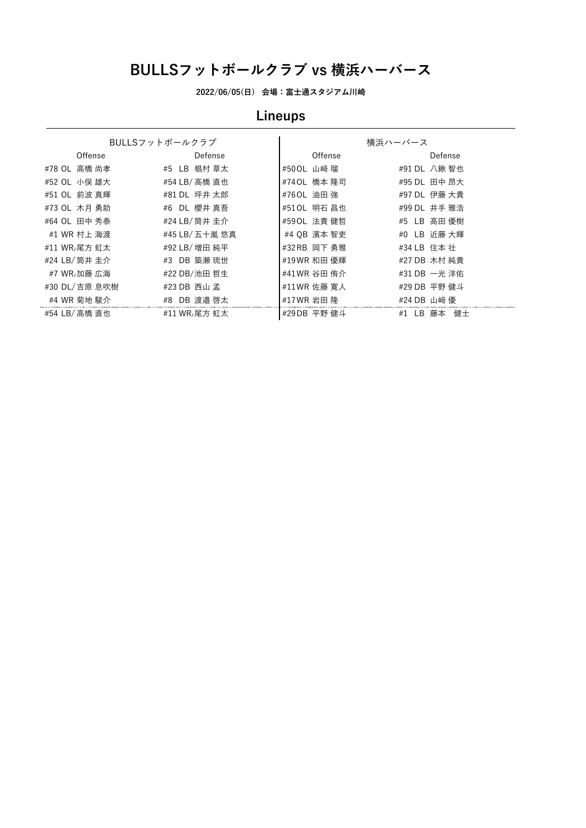**2022/06/05(日) 会場:富士通スタジアム川崎**

# **Lineups**

|               | BULLSフットボールクラブ |              | 横浜ハーバース               |
|---------------|----------------|--------------|-----------------------|
| Offense       | Defense        | Offense      | Defense               |
| #78 OL 高橋 尚孝  | #5 LB 椙村 草太    | #50 OL 山﨑 瑠  | #91 DL 八鍬 智也          |
| #52 OL 小俣 雄大  | #54 LB/ 高橋 直也  | #740L 橋本 隆司  | #95 DL 田中 昂大          |
| #51 OL 前波 真輝  | #81 DL 坪井 太郎   | #760L 油田 強   | #97 DL 伊藤 大貴          |
| #73 OL 木月 勇助  | #6 DL 櫻井 真吾    | #510L 明石 昌也  | #99 DL 井手 雅浩          |
| #64 OL 田中 秀泰  | #24 LB/ 筒井 圭介  | #590L 法貴 健哲  | #5 LB 高田 優樹           |
| #1 WR 村上 海渡   | #45 LB/ 五十嵐 悠真 | #4 OB 濱本 智吏  | #0 LB 近藤 大輝           |
| #11 WR,尾方 虹太  | #92 LB/ 増田 純平  | #32 RB 岡下 勇雅 | #34 LB 住本 壮           |
| #24 LB/ 筒井 圭介 | #3 DB 築瀬 琉世    | #19WR 和田 優輝  | #27 DB 木村 純貴          |
| #7 WR,加藤 広海   | #22 DB/池田 哲生   | #41 WR 谷田 侑介 | #31 DB 一光 洋佑          |
| #30 DL/吉原 息吹樹 | #23 DB 西山 孟    | #11WR 佐藤 寛人  | #29 DB 平野 健斗          |
| #4 WR 菊地 駿介   | #8 DB 渡邉 啓太    | #17WR 岩田 隆   | #24 DB 山﨑 優           |
| #54 LB/ 高橋 直也 | #11 WR,尾方 虹太   | #29DB 平野 健斗  | LB.<br>健士<br>#1<br>藤本 |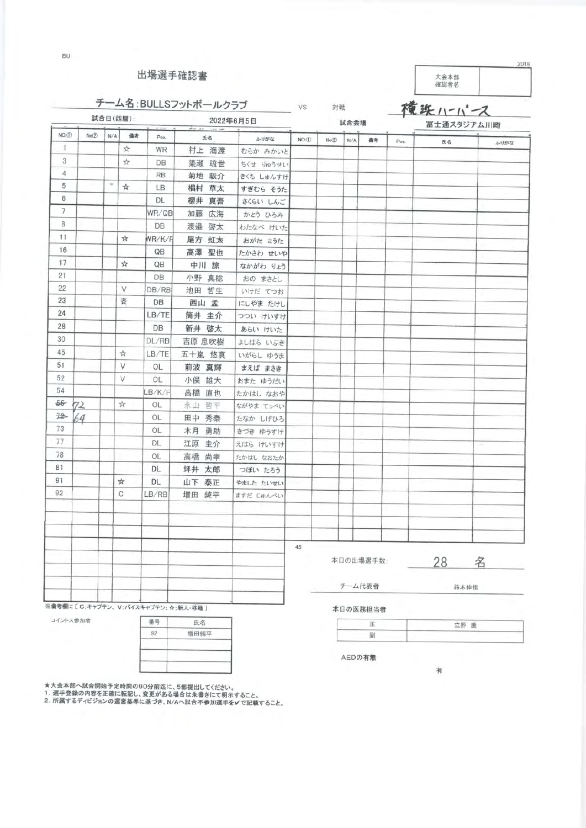出場選手確認書

BU

大会本部<br>確認者名

# チーム名:BULLSフットボールクラブ

VS 対戦 *BA 20 20 20*  横浜11-1-2

2018

|                |          |           | 試合日(西暦):      | 2022年6月5日<br>also are |                                   |           |                      |       | 試合会場   |           | 127112<br>富士通スタジアム川崎 |    |      |
|----------------|----------|-----------|---------------|-----------------------|-----------------------------------|-----------|----------------------|-------|--------|-----------|----------------------|----|------|
| NO.D           | No(2)    | N/A       | 備考            | Pos.                  | 氏名                                | ふりがな      | $NO.$ <sup>(1)</sup> | No(2) | N/A    | 備考        | Pos.                 | 氏名 | ふりがな |
| $\mathbf{1}$   |          |           | ☆             | WR                    | 村上 海渡                             | むらか みかいと  |                      |       |        |           |                      |    |      |
| 3              |          |           | ☆             | DB                    | 築瀬 琉世                             | ちくせ りゅうせい |                      |       |        |           |                      |    |      |
| $\overline{4}$ |          |           |               | <b>RB</b>             | 菊地 駿介                             | きくち しゅんすけ |                      |       |        |           |                      |    |      |
| 5              |          | $\approx$ | ☆             | LB                    | 椙村 草太                             | すぎむら そうた  |                      |       |        |           |                      |    |      |
| 6              |          |           |               | DL                    | 櫻井 真吾                             | さくらい しんご  |                      |       |        |           |                      |    |      |
| $\overline{7}$ |          |           |               | WR/QB                 | 加藤 広海                             | かとう ひろみ   |                      |       |        |           |                      |    |      |
| 8              |          |           |               | DB                    | 渡邉 啓太                             | わたなべ けいた  |                      |       |        |           |                      |    |      |
| 11             |          |           | ☆             | WR/K/F                | 尾方 虹太                             | おがた こうた   |                      |       |        |           |                      |    |      |
| 16             |          |           |               | QB                    | 高澤 聖也                             | たかさわ せいや  |                      |       |        |           |                      |    |      |
| 17             |          |           | ☆             | QB                    | 中川 諒                              | なかがわ りょう  |                      |       |        |           |                      |    |      |
| 21             |          |           |               | DB                    | 小野 真稔                             | おの まさとし   |                      |       |        |           |                      |    |      |
| 22             |          |           | V             | DB/RB                 | 池田 哲生                             | いけだ てつお   |                      |       |        |           |                      |    |      |
| 23             |          |           | 奇             | DB                    | 西山 孟                              | にしやま たけし  |                      |       |        |           |                      |    |      |
| 24             |          |           |               | LB/TE                 | 筒井 圭介                             | つつい けいすけ  |                      |       |        |           |                      |    |      |
| 28             |          |           |               | DB                    | 新井 啓太                             | あらい けいた   |                      |       |        |           |                      |    |      |
| 30             |          |           |               | DL/RB                 | 吉原 息吹樹                            | よしはら いぶき  |                      |       |        |           |                      |    |      |
| 45             |          |           | ☆             | LB/TE                 | 五十嵐 悠真                            | いがらし ゆうま  |                      |       |        |           |                      |    |      |
| 51             |          |           | V             | OL                    | 前波 真輝                             | まえば まさき   |                      |       |        |           |                      |    |      |
| 52             |          |           | V             | OL                    | 小俣 雄大                             | おまた ゆうだい  |                      |       |        |           |                      |    |      |
| 54             |          |           |               | LB/K/F                | 高橋 直也                             | たかはし なおや  |                      |       |        |           |                      |    |      |
| 55-            | 72       |           | $\frac{1}{M}$ | OL                    | 永山 哲平                             | ながやま てっぺい |                      |       |        |           |                      |    |      |
| 诠              | 64       |           |               | OL                    | 田中 秀泰                             | たなか しげひろ  |                      |       |        |           |                      |    |      |
| 73             |          |           |               | OL                    | 木月 勇助                             | きづき ゆうすけ  |                      |       |        |           |                      |    |      |
| 77             |          |           |               | DL.                   | 江原 圭介                             | えはら けいすけ  |                      |       |        |           |                      |    |      |
| 78             |          |           |               | OL                    | 高橋 尚孝                             | たかはし なおたか |                      |       |        |           |                      |    |      |
| 81             |          |           |               | DL                    | 坪井 太郎                             | つぼい たろう   |                      |       |        |           |                      |    |      |
| 91             |          |           | ☆             | DL                    | 山下 泰正                             | やました たいせい |                      |       |        |           |                      |    |      |
| 92             |          |           | C             | LB/RB                 | 増田 純平                             | ますだ じゅんぺい |                      |       |        |           |                      |    |      |
|                |          |           |               |                       |                                   |           |                      |       |        |           |                      |    |      |
|                |          |           |               |                       |                                   |           |                      |       |        |           |                      |    |      |
|                |          |           |               |                       |                                   |           |                      |       |        |           |                      |    |      |
|                |          |           |               |                       |                                   |           | 45                   |       |        |           |                      |    |      |
|                |          |           |               |                       |                                   |           |                      |       |        | 本日の出場選手数: |                      | 28 | 名    |
|                |          |           |               |                       |                                   |           |                      |       |        |           |                      |    |      |
|                |          |           |               |                       |                                   |           |                      |       | チーム代表者 |           |                      |    | 鈴木伸佳 |
|                |          |           |               |                       | ※備考欄に〔C:キャプテン、V:バイスキャプテン;☆:新人·移籍〕 |           |                      |       |        | 本日の医務担当者  |                      |    |      |
|                | コイントス参加者 |           |               | 番号                    | 氏名                                |           |                      |       |        | Œ.        |                      |    | 立野 廊 |
|                |          |           |               |                       |                                   |           |                      |       |        |           |                      |    |      |

|    | 氏名                         |  |
|----|----------------------------|--|
|    | 增田純平                       |  |
|    | $\mathcal{L}(\mathcal{A})$ |  |
| m. |                            |  |
|    |                            |  |

★大会本部へ試合開始予定時間の90分前迄に、5部提出してください。<br>1. 選手登録の内容を正確に転記し、変更がある場合は朱書きにて明示すること。<br>2. 所属するディビジョンの運営基準に基づき、N/Aへ試合不参加選手を✔で記載すること。

|        | _______ |
|--------|---------|
| ______ |         |

有

AEDの有無